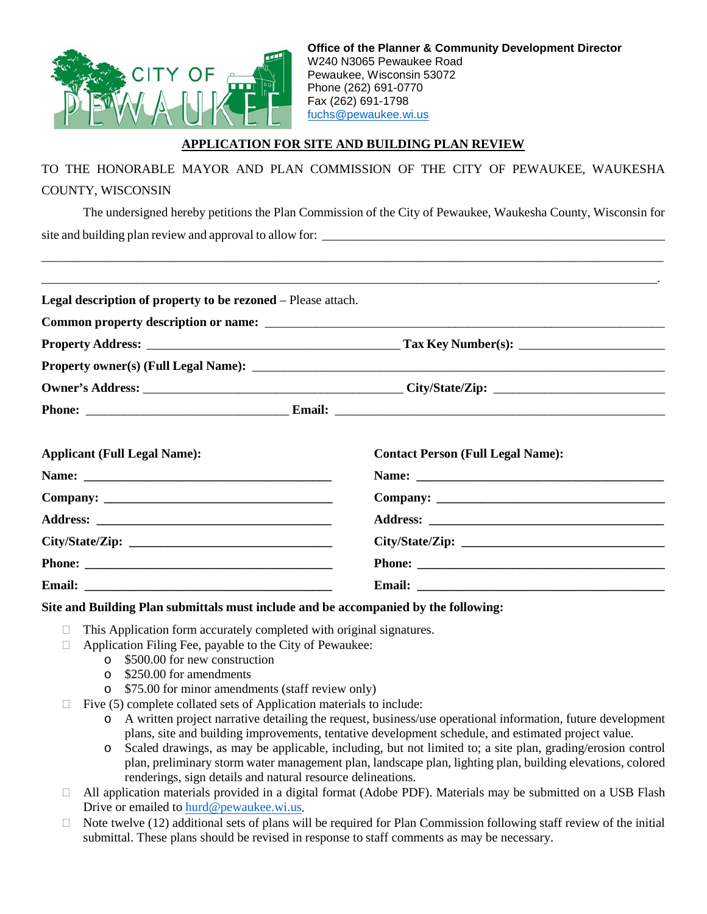

## **APPLICATION FOR SITE AND BUILDING PLAN REVIEW**

TO THE HONORABLE MAYOR AND PLAN COMMISSION OF THE CITY OF PEWAUKEE, WAUKESHA COUNTY, WISCONSIN

The undersigned hereby petitions the Plan Commission of the City of Pewaukee, Waukesha County, Wisconsin for site and building plan review and approval to allow for: \_\_\_\_\_\_\_\_\_\_\_\_\_\_\_\_\_\_\_\_\_\_\_\_\_\_\_\_\_\_\_\_\_\_\_\_\_\_\_\_\_\_\_\_\_\_\_\_\_\_\_\_\_\_

\_\_\_\_\_\_\_\_\_\_\_\_\_\_\_\_\_\_\_\_\_\_\_\_\_\_\_\_\_\_\_\_\_\_\_\_\_\_\_\_\_\_\_\_\_\_\_\_\_\_\_\_\_\_\_\_\_\_\_\_\_\_\_\_\_\_\_\_\_\_\_\_\_\_\_\_\_\_\_\_\_\_\_\_\_\_\_\_\_\_\_\_\_\_\_\_\_\_

| <b>Legal description of property to be rezoned</b> – Please attach. |  |                                          |
|---------------------------------------------------------------------|--|------------------------------------------|
|                                                                     |  |                                          |
|                                                                     |  |                                          |
|                                                                     |  |                                          |
|                                                                     |  |                                          |
|                                                                     |  |                                          |
|                                                                     |  |                                          |
| <b>Applicant (Full Legal Name):</b>                                 |  | <b>Contact Person (Full Legal Name):</b> |
|                                                                     |  |                                          |
|                                                                     |  |                                          |
|                                                                     |  |                                          |
|                                                                     |  |                                          |
|                                                                     |  |                                          |
|                                                                     |  |                                          |

**Site and Building Plan submittals must include and be accompanied by the following:**

- $\Box$  This Application form accurately completed with original signatures.
- $\Box$  Application Filing Fee, payable to the City of Pewaukee:
	- o \$500.00 for new construction
	- o \$250.00 for amendments
	- o \$75.00 for minor amendments (staff review only)
- $\Box$  Five (5) complete collated sets of Application materials to include:
	- o A written project narrative detailing the request, business/use operational information, future development plans, site and building improvements, tentative development schedule, and estimated project value.
	- o Scaled drawings, as may be applicable, including, but not limited to; a site plan, grading/erosion control plan, preliminary storm water management plan, landscape plan, lighting plan, building elevations, colored renderings, sign details and natural resource delineations.
- All application materials provided in a digital format (Adobe PDF). Materials may be submitted on a USB Flash Drive or emailed t[o hurd@pewaukee.wi.us.](mailto:hurd@pewaukee.wi.us)
- $\Box$  Note twelve (12) additional sets of plans will be required for Plan Commission following staff review of the initial submittal. These plans should be revised in response to staff comments as may be necessary.